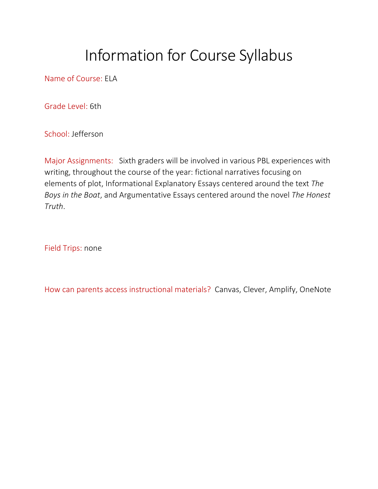## Information for Course Syllabus

Name of Course: ELA

Grade Level: 6th

School: Jefferson

Major Assignments: Sixth graders will be involved in various PBL experiences with writing, throughout the course of the year: fictional narratives focusing on elements of plot, Informational Explanatory Essays centered around the text *The Boys in the Boat*, and Argumentative Essays centered around the novel *The Honest Truth*.

Field Trips: none

How can parents access instructional materials? Canvas, Clever, Amplify, OneNote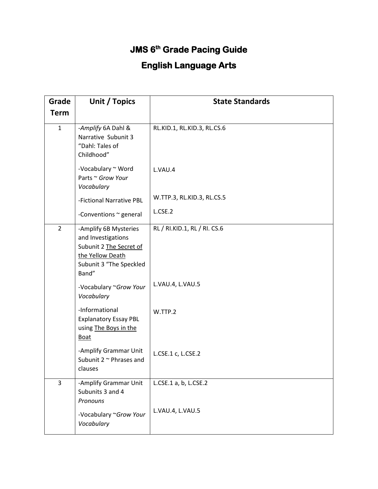## **JMS 6th Grade Pacing Guide**

## **English Language Arts**

| Grade          | Unit / Topics                                                                                                                  | <b>State Standards</b>       |
|----------------|--------------------------------------------------------------------------------------------------------------------------------|------------------------------|
| <b>Term</b>    |                                                                                                                                |                              |
| $\mathbf{1}$   | -Amplify 6A Dahl &<br>Narrative Subunit 3<br>"Dahl: Tales of<br>Childhood"                                                     | RL.KID.1, RL.KID.3, RL.CS.6  |
|                | -Vocabulary ~ Word<br>Parts ~ Grow Your<br>Vocabulary                                                                          | L.VAU.4                      |
|                | -Fictional Narrative PBL                                                                                                       | W.TTP.3, RL.KID.3, RL.CS.5   |
|                | -Conventions ~ general                                                                                                         | L.CSE.2                      |
| $\overline{2}$ | -Amplify 6B Mysteries<br>and Investigations<br>Subunit 2 The Secret of<br>the Yellow Death<br>Subunit 3 "The Speckled<br>Band" | RL / RI.KID.1, RL / RI. CS.6 |
|                | -Vocabulary ~Grow Your<br>Vocabulary                                                                                           | L.VAU.4, L.VAU.5             |
|                | -Informational<br><b>Explanatory Essay PBL</b><br>using The Boys in the<br><b>Boat</b>                                         | W.TTP.2                      |
|                | -Amplify Grammar Unit<br>Subunit $2 \sim$ Phrases and<br>clauses                                                               | L.CSE.1 c, L.CSE.2           |
| 3              | -Amplify Grammar Unit<br>Subunits 3 and 4<br>Pronouns                                                                          | L.CSE.1 a, b, L.CSE.2        |
|                | -Vocabulary ~Grow Your<br>Vocabulary                                                                                           | L.VAU.4, L.VAU.5             |